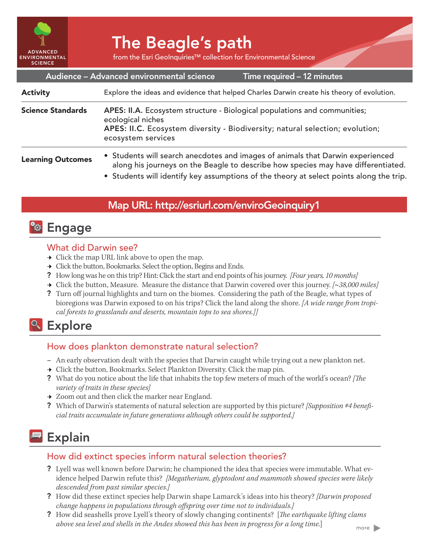

# The Beagle's path

from the Esri GeoInquiries™ collection for Environmental Science

| Audience - Advanced environmental science<br>Time required - 12 minutes |                                                                                                                                                                                                                                                                |
|-------------------------------------------------------------------------|----------------------------------------------------------------------------------------------------------------------------------------------------------------------------------------------------------------------------------------------------------------|
| <b>Activity</b>                                                         | Explore the ideas and evidence that helped Charles Darwin create his theory of evolution.                                                                                                                                                                      |
| <b>Science Standards</b>                                                | APES: II.A. Ecosystem structure - Biological populations and communities;<br>ecological niches<br>APES: II.C. Ecosystem diversity - Biodiversity; natural selection; evolution;<br>ecosystem services                                                          |
| <b>Learning Outcomes</b>                                                | • Students will search anecdotes and images of animals that Darwin experienced<br>along his journeys on the Beagle to describe how species may have differentiated.<br>• Students will identify key assumptions of the theory at select points along the trip. |

#### Map URL: http://esriurl.com/enviroGeoinquiry1

## **<b>Ro** Engage

#### What did Darwin see?

- $\rightarrow$  Click the map URL link above to open the map.
- → Click the button, Bookmarks. Select the option, Begins and Ends.
- ? How long was he on this trip? Hint: Click the start and end points of his journey. *[Four years, 10 months]*
- ʅ Click the button, Measure. Measure the distance that Darwin covered over this journey. *[~38,000 miles]*
- ? Turn off journal highlights and turn on the biomes. Considering the path of the Beagle, what types of bioregions was Darwin exposed to on his trips? Click the land along the shore. *[A wide range from tropical forests to grasslands and deserts, mountain tops to sea shores.]]*

## <sup>Q</sup> Explore

#### How does plankton demonstrate natural selection?

- **–** An early observation dealt with the species that Darwin caught while trying out a new plankton net.
- $\rightarrow$  Click the button, Bookmarks. Select Plankton Diversity. Click the map pin.
- ? What do you notice about the life that inhabits the top few meters of much of the world's ocean? *[The variety of traits in these species]*
- $\rightarrow$  Zoom out and then click the marker near England.
- ? Which of Darwin's statements of natural selection are supported by this picture? *[Supposition #4 beneficial traits accumulate in future generations although others could be supported.]*

## **Explain**

#### How did extinct species inform natural selection theories?

- ? Lyell was well known before Darwin; he championed the idea that species were immutable. What evidence helped Darwin refute this? *[Megatherium, glyptodont and mammoth showed species were likely descended from past similar species.]*
- ? How did these extinct species help Darwin shape Lamarck's ideas into his theory? *[Darwin proposed change happens in populations through offspring over time not to individuals.]*
- ? How did seashells prove Lyell's theory of slowly changing continents? [*The earthquake lifting clams above sea level and shells in the Andes showed this has been in progress for a long time.*]